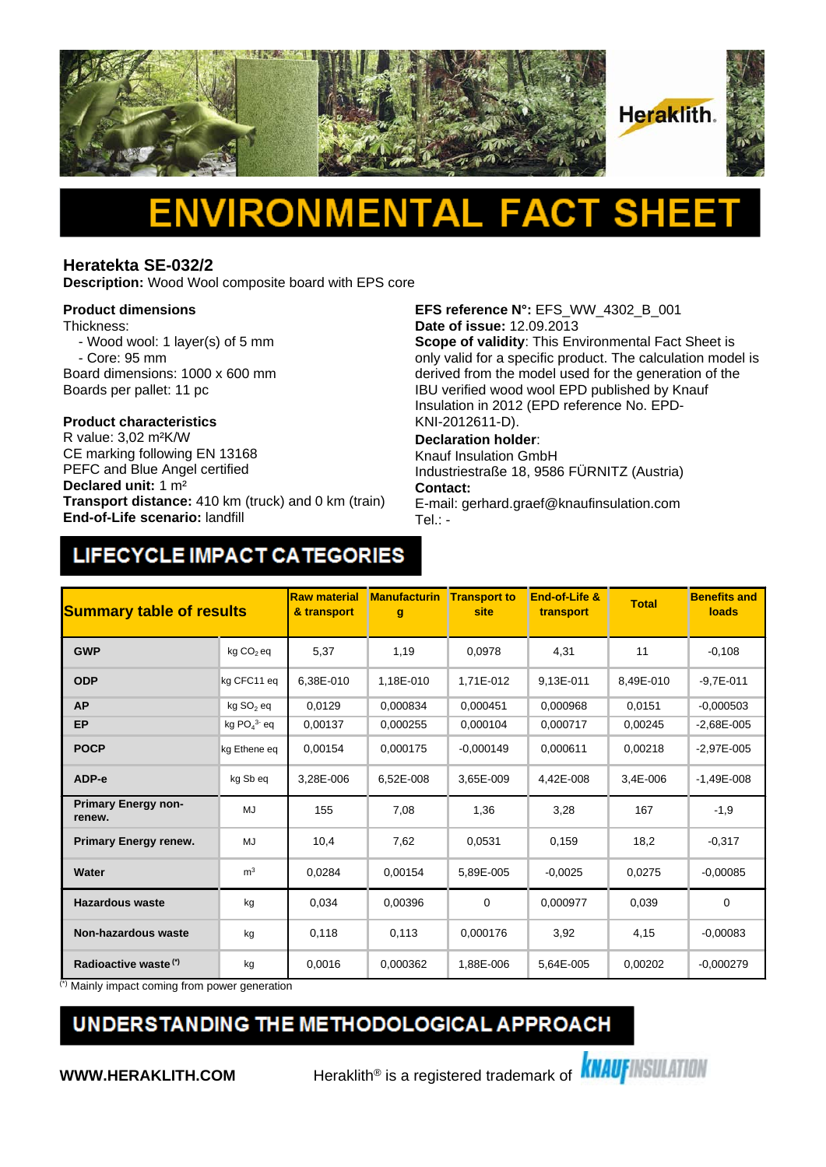

# Δ

#### **Heratekta SE-032/2**

**Description:** Wood Wool composite board with EPS core

#### **Product dimensions**

Thickness:

- Wood wool: 1 layer(s) of 5 mm - Core: 95 mm
- Board dimensions: 1000 x 600 mm Boards per pallet: 11 pc

## **Product characteristics**

CE marking following EN 13168 PEFC and Blue Angel certified **Declared unit:** 1 m² **Transport distance:** 410 km (truck) and 0 km (train) **End-of-Life scenario:** landfill

**EFS reference N°:** EFS\_WW\_4302\_B\_001 **Date of issue:** 12.09.2013

**Scope of validity**: This Environmental Fact Sheet is only valid for a specific product. The calculation model is derived from the model used for the generation of the IBU verified wood wool EPD published by Knauf Insulation in 2012 (EPD reference No. EPD-KNI-2012611-D).

#### **Declaration holder**:

Knauf Insulation GmbH Industriestraße 18, 9586 FÜRNITZ (Austria) **Contact:** 

E-mail: gerhard.graef@knaufinsulation.com Tel.: -

### LIFECYCLE IMPACT CATEGORIES

| <b>Summary table of results</b>      |                       | <b>Raw material</b><br>& transport | <b>Manufacturin</b><br>$\mathbf{g}$ | <b>Transport to</b><br>site | End-of-Life &<br>transport | <b>Total</b> | <b>Benefits and</b><br>loads |
|--------------------------------------|-----------------------|------------------------------------|-------------------------------------|-----------------------------|----------------------------|--------------|------------------------------|
| <b>GWP</b>                           | kg CO <sub>2</sub> eq | 5,37                               | 1,19                                | 0,0978                      | 4,31                       | 11           | $-0,108$                     |
| <b>ODP</b>                           | kg CFC11 eq           | 6.38E-010                          | 1.18E-010                           | 1.71E-012                   | 9,13E-011                  | 8.49E-010    | $-9.7E - 011$                |
| <b>AP</b>                            | kg SO <sub>2</sub> eq | 0.0129                             | 0.000834                            | 0,000451                    | 0,000968                   | 0,0151       | $-0.000503$                  |
| EP                                   | kg $PO43$ eq          | 0.00137                            | 0,000255                            | 0.000104                    | 0.000717                   | 0.00245      | $-2.68E - 005$               |
| <b>POCP</b>                          | kg Ethene eq          | 0,00154                            | 0,000175                            | $-0,000149$                 | 0,000611                   | 0,00218      | $-2,97E-005$                 |
| ADP-e                                | kg Sb eq              | 3,28E-006                          | 6,52E-008                           | 3,65E-009                   | 4,42E-008                  | 3,4E-006     | $-1,49E-008$                 |
| <b>Primary Energy non-</b><br>renew. | MJ                    | 155                                | 7,08                                | 1,36                        | 3,28                       | 167          | $-1,9$                       |
| <b>Primary Energy renew.</b>         | MJ                    | 10,4                               | 7,62                                | 0,0531                      | 0,159                      | 18,2         | $-0,317$                     |
| Water                                | m <sup>3</sup>        | 0,0284                             | 0,00154                             | 5,89E-005                   | $-0.0025$                  | 0,0275       | $-0,00085$                   |
| <b>Hazardous waste</b>               | kg                    | 0,034                              | 0,00396                             | $\mathbf 0$                 | 0,000977                   | 0,039        | 0                            |
| <b>Non-hazardous waste</b>           | kg                    | 0,118                              | 0,113                               | 0,000176                    | 3,92                       | 4,15         | $-0,00083$                   |
| Radioactive waste <sup>(*)</sup>     | kg                    | 0,0016                             | 0,000362                            | 1,88E-006                   | 5,64E-005                  | 0,00202      | $-0,000279$                  |

(\*) Mainly impact coming from power generation

### UNDERSTANDING THE METHODOLOGICAL APPROACH

**WWW.HERAKLITH.COM** Heraklith<sup>®</sup> is a registered trademark of **KNAUFINSULATION**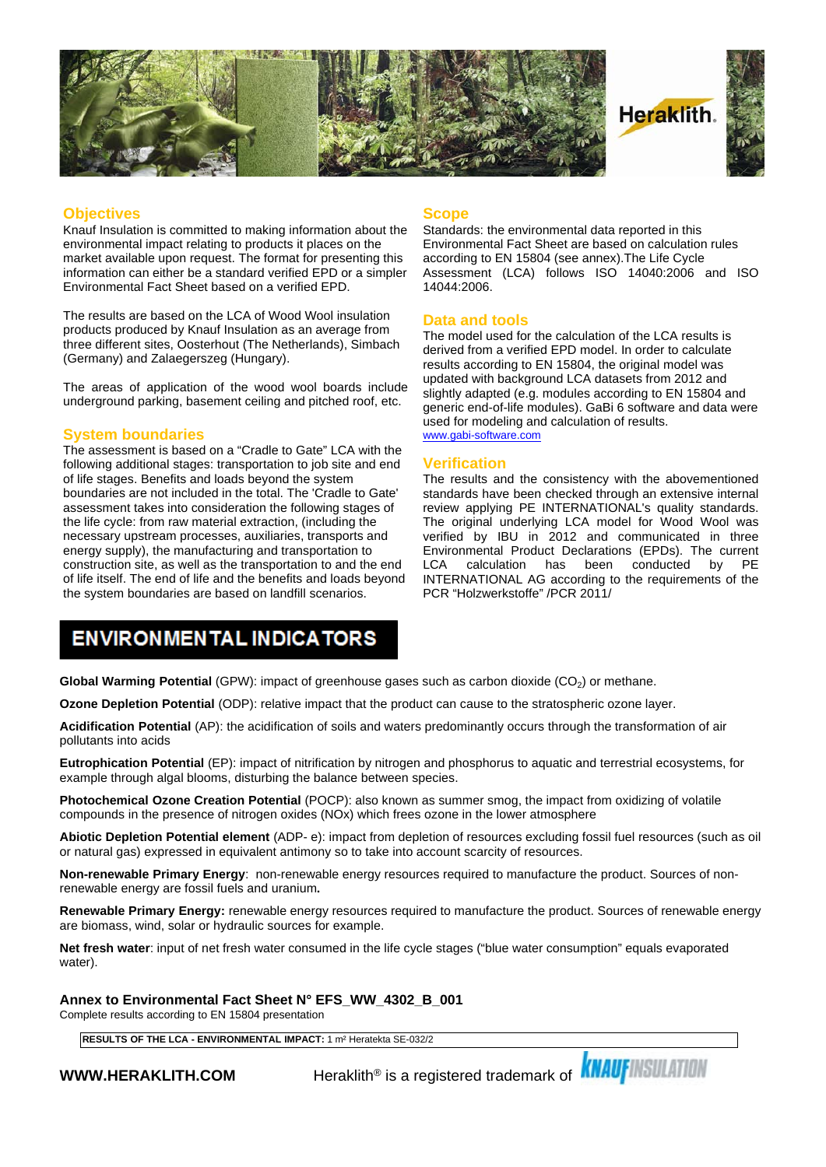

#### **Objectives**

Knauf Insulation is committed to making information about the environmental impact relating to products it places on the market available upon request. The format for presenting this information can either be a standard verified EPD or a simpler Environmental Fact Sheet based on a verified EPD.

The results are based on the LCA of Wood Wool insulation products produced by Knauf Insulation as an average from three different sites, Oosterhout (The Netherlands), Simbach (Germany) and Zalaegerszeg (Hungary).

The areas of application of the wood wool boards include underground parking, basement ceiling and pitched roof, etc.

#### **System boundaries**

The assessment is based on a "Cradle to Gate" LCA with the following additional stages: transportation to job site and end of life stages. Benefits and loads beyond the system boundaries are not included in the total. The 'Cradle to Gate' assessment takes into consideration the following stages of the life cycle: from raw material extraction, (including the necessary upstream processes, auxiliaries, transports and energy supply), the manufacturing and transportation to construction site, as well as the transportation to and the end LCA of life itself. The end of life and the benefits and loads beyond the system boundaries are based on landfill scenarios.

#### **Scope**

Standards: the environmental data reported in this Environmental Fact Sheet are based on calculation rules according to EN 15804 (see annex).The Life Cycle Assessment (LCA) follows ISO 14040:2006 and ISO 14044:2006.

#### **Data and tools**

The model used for the calculation of the LCA results is derived from a verified EPD model. In order to calculate results according to EN 15804, the original model was updated with background LCA datasets from 2012 and slightly adapted (e.g. modules according to EN 15804 and generic end-of-life modules). GaBi 6 software and data were used for modeling and calculation of results. [www.gabi-software.com](http://www.gabi-software.com)

#### **Verification**

The results and the consistency with the abovementioned standards have been checked through an extensive internal review applying PE INTERNATIONAL's quality standards. The original underlying LCA model for Wood Wool was verified by IBU in 2012 and communicated in three Environmental Product Declarations (EPDs). The current calculation has been conducted INTERNATIONAL AG according to the requirements of the PCR "Holzwerkstoffe" /PCR 2011/

### **ENVIRONMENTAL INDICATORS**

**Global Warming Potential** (GPW): impact of greenhouse gases such as carbon dioxide (CO<sub>2</sub>) or methane.

**Ozone Depletion Potential** (ODP): relative impact that the product can cause to the stratospheric ozone layer.

**Acidification Potential** (AP): the acidification of soils and waters predominantly occurs through the transformation of air pollutants into acids

**Eutrophication Potential** (EP): impact of nitrification by nitrogen and phosphorus to aquatic and terrestrial ecosystems, for example through algal blooms, disturbing the balance between species.

**Photochemical Ozone Creation Potential** (POCP): also known as summer smog, the impact from oxidizing of volatile compounds in the presence of nitrogen oxides (NOx) which frees ozone in the lower atmosphere

**Abiotic Depletion Potential element** (ADP- e): impact from depletion of resources excluding fossil fuel resources (such as oil or natural gas) expressed in equivalent antimony so to take into account scarcity of resources.

**Non-renewable Primary Energy**: non-renewable energy resources required to manufacture the product. Sources of nonrenewable energy are fossil fuels and uranium**.**

**Renewable Primary Energy:** renewable energy resources required to manufacture the product. Sources of renewable energy are biomass, wind, solar or hydraulic sources for example.

**Net fresh water**: input of net fresh water consumed in the life cycle stages ("blue water consumption" equals evaporated water).

**Annex to Environmental Fact Sheet N° EFS\_WW\_4302\_B\_001**

Complete results according to EN 15804 presentation

**RESULTS OF THE LCA - ENVIRONMENTAL IMPACT:** 1 m² Heratekta SE-032/2

**WWW.HERAKLITH.COM** Peraklith® is a registered trademark of **KNAUFINSULATION**